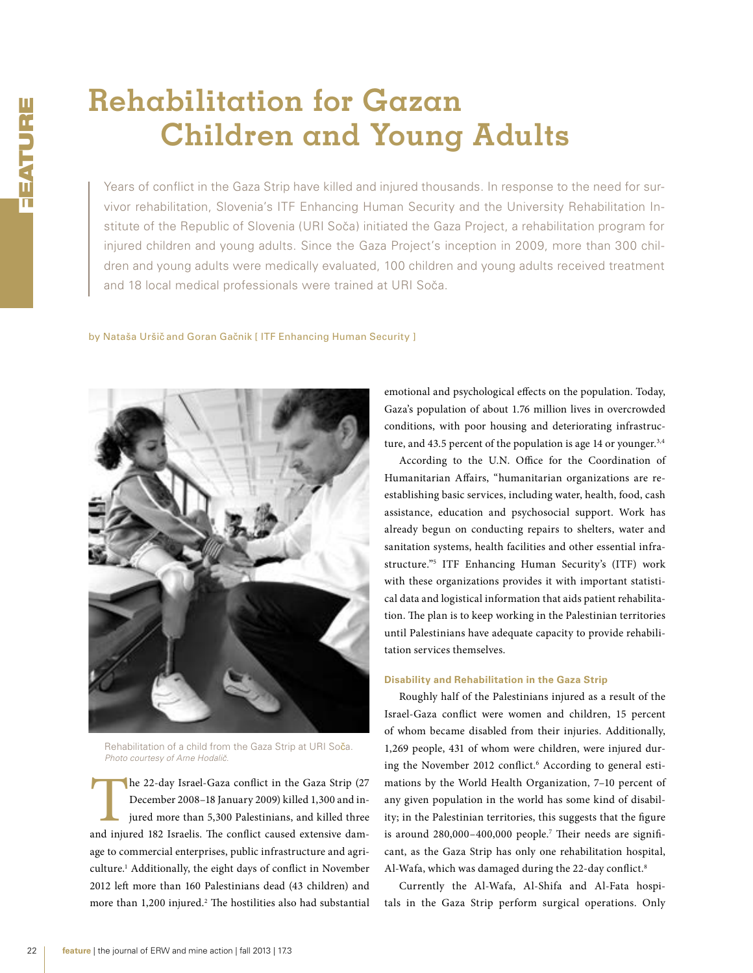# **Rehabilitation for Gazan Children and Young Adults**

Years of conflict in the Gaza Strip have killed and injured thousands. In response to the need for survivor rehabilitation, Slovenia's ITF Enhancing Human Security and the University Rehabilitation Institute of the Republic of Slovenia (URI Soča) initiated the Gaza Project, a rehabilitation program for injured children and young adults. Since the Gaza Project's inception in 2009, more than 300 children and young adults were medically evaluated, 100 children and young adults received treatment and 18 local medical professionals were trained at URI Soča.

by Nataša Uršič and Goran Gačnik [ ITF Enhancing Human Security ]



Rehabilitation of a child from the Gaza Strip at URI So**č**a. *Photo courtesy of Arne Hodaliˇc.*

The 22-day Israel-Gaza conflict in the Gaza Strip (27 December 2008–18 January 2009) killed 1,300 and injured more than 5,300 Palestinians, and killed three and injured 182 Israelis. The conflict caused extensive damage to commercial enterprises, public infrastructure and agriculture.1 Additionally, the eight days of conflict in November 2012 left more than 160 Palestinians dead (43 children) and more than 1,200 injured.<sup>2</sup> The hostilities also had substantial emotional and psychological effects on the population. Today, Gaza's population of about 1.76 million lives in overcrowded conditions, with poor housing and deteriorating infrastructure, and 43.5 percent of the population is age 14 or younger. $3,4$ 

According to the U.N. Office for the Coordination of Humanitarian Affairs, "humanitarian organizations are reestablishing basic services, including water, health, food, cash assistance, education and psychosocial support. Work has already begun on conducting repairs to shelters, water and sanitation systems, health facilities and other essential infrastructure."5 ITF Enhancing Human Security's (ITF) work with these organizations provides it with important statistical data and logistical information that aids patient rehabilitation. The plan is to keep working in the Palestinian territories until Palestinians have adequate capacity to provide rehabilitation services themselves.

#### **Disability and Rehabilitation in the Gaza Strip**

Roughly half of the Palestinians injured as a result of the Israel-Gaza conflict were women and children, 15 percent of whom became disabled from their injuries. Additionally, 1,269 people, 431 of whom were children, were injured during the November 2012 conflict.6 According to general estimations by the World Health Organization, 7–10 percent of any given population in the world has some kind of disability; in the Palestinian territories, this suggests that the figure is around 280,000–400,000 people.7 Their needs are significant, as the Gaza Strip has only one rehabilitation hospital, Al-Wafa, which was damaged during the 22-day conflict.8

Currently the Al-Wafa, Al-Shifa and Al-Fata hospitals in the Gaza Strip perform surgical operations. Only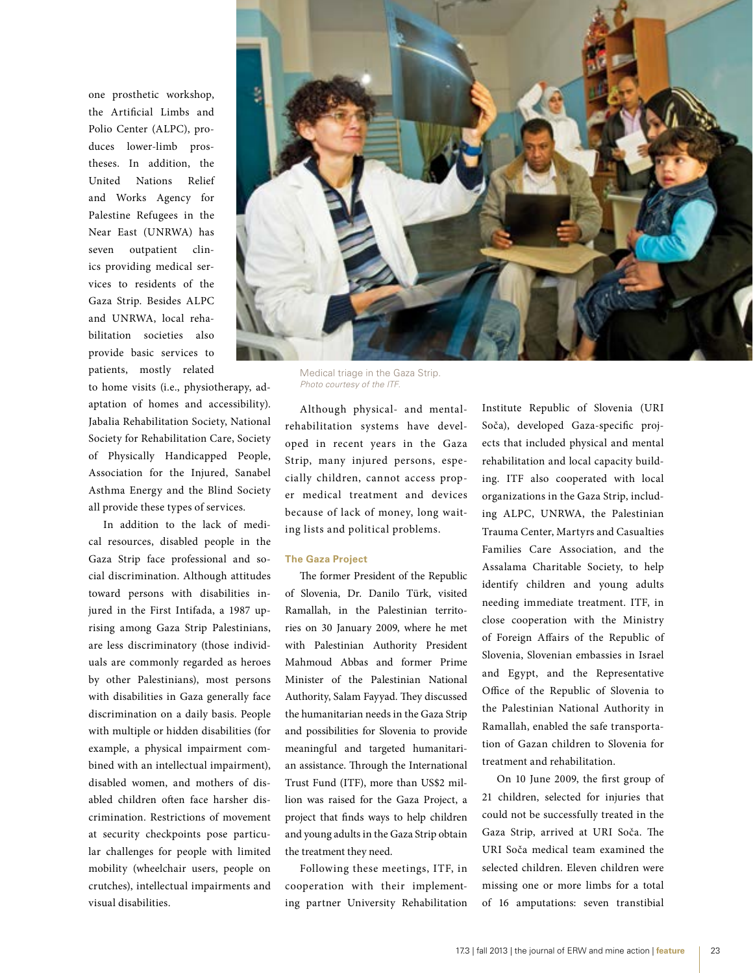one prosthetic workshop, the Artificial Limbs and Polio Center (ALPC), produces lower-limb prostheses. In addition, the United Nations Relief and Works Agency for Palestine Refugees in the Near East (UNRWA) has seven outpatient clinics providing medical services to residents of the Gaza Strip. Besides ALPC and UNRWA, local rehabilitation societies also provide basic services to patients, mostly related

to home visits (i.e., physiotherapy, adaptation of homes and accessibility). Jabalia Rehabilitation Society, National Society for Rehabilitation Care, Society of Physically Handicapped People, Association for the Injured, Sanabel Asthma Energy and the Blind Society all provide these types of services.

In addition to the lack of medical resources, disabled people in the Gaza Strip face professional and social discrimination. Although attitudes toward persons with disabilities injured in the First Intifada, a 1987 uprising among Gaza Strip Palestinians, are less discriminatory (those individuals are commonly regarded as heroes by other Palestinians), most persons with disabilities in Gaza generally face discrimination on a daily basis. People with multiple or hidden disabilities (for example, a physical impairment combined with an intellectual impairment), disabled women, and mothers of disabled children often face harsher discrimination. Restrictions of movement at security checkpoints pose particular challenges for people with limited mobility (wheelchair users, people on crutches), intellectual impairments and visual disabilities.



Medical triage in the Gaza Strip. *Photo courtesy of the ITF.*

Although physical- and mentalrehabilitation systems have developed in recent years in the Gaza Strip, many injured persons, especially children, cannot access proper medical treatment and devices because of lack of money, long waiting lists and political problems.

## **The Gaza Project**

The former President of the Republic of Slovenia, Dr. Danilo Türk, visited Ramallah, in the Palestinian territories on 30 January 2009, where he met with Palestinian Authority President Mahmoud Abbas and former Prime Minister of the Palestinian National Authority, Salam Fayyad. They discussed the humanitarian needs in the Gaza Strip and possibilities for Slovenia to provide meaningful and targeted humanitarian assistance. Through the International Trust Fund (ITF), more than US\$2 million was raised for the Gaza Project, a project that finds ways to help children and young adults in the Gaza Strip obtain the treatment they need.

Following these meetings, ITF, in cooperation with their implementing partner University Rehabilitation

Institute Republic of Slovenia (URI Soča), developed Gaza-specific projects that included physical and mental rehabilitation and local capacity building. ITF also cooperated with local organizations in the Gaza Strip, including ALPC, UNRWA, the Palestinian Trauma Center, Martyrs and Casualties Families Care Association, and the Assalama Charitable Society, to help identify children and young adults needing immediate treatment. ITF, in close cooperation with the Ministry of Foreign Affairs of the Republic of Slovenia, Slovenian embassies in Israel and Egypt, and the Representative Office of the Republic of Slovenia to the Palestinian National Authority in Ramallah, enabled the safe transportation of Gazan children to Slovenia for treatment and rehabilitation.

On 10 June 2009, the first group of 21 children, selected for injuries that could not be successfully treated in the Gaza Strip, arrived at URI Soča. The URI Soča medical team examined the selected children. Eleven children were missing one or more limbs for a total of 16 amputations: seven transtibial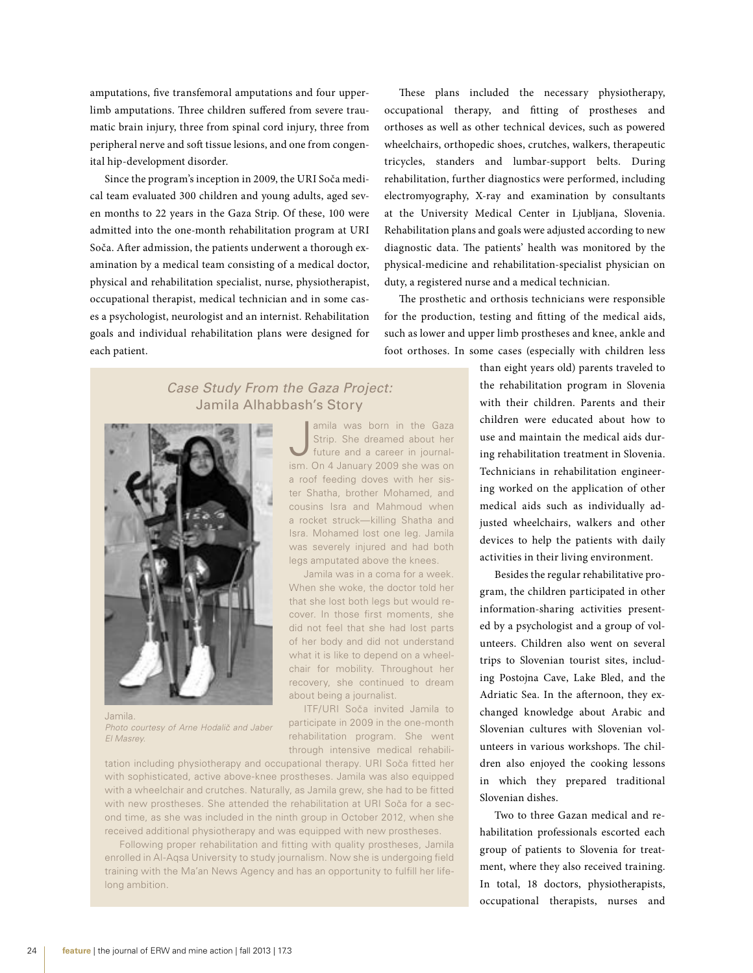amputations, five transfemoral amputations and four upperlimb amputations. Three children suffered from severe traumatic brain injury, three from spinal cord injury, three from peripheral nerve and soft tissue lesions, and one from congenital hip-development disorder.

Since the program's inception in 2009, the URI Soča medical team evaluated 300 children and young adults, aged seven months to 22 years in the Gaza Strip. Of these, 100 were admitted into the one-month rehabilitation program at URI Soča. After admission, the patients underwent a thorough examination by a medical team consisting of a medical doctor, physical and rehabilitation specialist, nurse, physiotherapist, occupational therapist, medical technician and in some cases a psychologist, neurologist and an internist. Rehabilitation goals and individual rehabilitation plans were designed for each patient.

These plans included the necessary physiotherapy, occupational therapy, and fitting of prostheses and orthoses as well as other technical devices, such as powered wheelchairs, orthopedic shoes, crutches, walkers, therapeutic tricycles, standers and lumbar-support belts. During rehabilitation, further diagnostics were performed, including electromyography, X-ray and examination by consultants at the University Medical Center in Ljubljana, Slovenia. Rehabilitation plans and goals were adjusted according to new diagnostic data. The patients' health was monitored by the physical-medicine and rehabilitation-specialist physician on duty, a registered nurse and a medical technician.

The prosthetic and orthosis technicians were responsible for the production, testing and fitting of the medical aids, such as lower and upper limb prostheses and knee, ankle and foot orthoses. In some cases (especially with children less

# *Case Study From the Gaza Project:*  Jamila Alhabbash's Story



Jamila. *Photo courtesy of Arne Hodalič* and Jaber *El Masrey.*

amila was born in the Gaza<br>Strip. She dreamed about her<br>future and a career in journal-<br>ism. On 4 January 2009 she was on amila was born in the Gaza Strip. She dreamed about her future and a career in journala roof feeding doves with her sister Shatha, brother Mohamed, and cousins Isra and Mahmoud when a rocket struck—killing Shatha and Isra. Mohamed lost one leg. Jamila was severely injured and had both legs amputated above the knees.

Jamila was in a coma for a week. When she woke, the doctor told her that she lost both legs but would recover. In those first moments, she did not feel that she had lost parts of her body and did not understand what it is like to depend on a wheelchair for mobility. Throughout her recovery, she continued to dream about being a journalist.

ITF/URI Soča invited Jamila to participate in 2009 in the one-month rehabilitation program. She went through intensive medical rehabili-

tation including physiotherapy and occupational therapy. URI Soča fitted her with sophisticated, active above-knee prostheses. Jamila was also equipped with a wheelchair and crutches. Naturally, as Jamila grew, she had to be fitted with new prostheses. She attended the rehabilitation at URI Soča for a second time, as she was included in the ninth group in October 2012, when she received additional physiotherapy and was equipped with new prostheses.

Following proper rehabilitation and fitting with quality prostheses, Jamila enrolled in Al-Aqsa University to study journalism. Now she is undergoing field training with the Ma'an News Agency and has an opportunity to fulfill her lifelong ambition.

than eight years old) parents traveled to the rehabilitation program in Slovenia with their children. Parents and their children were educated about how to use and maintain the medical aids during rehabilitation treatment in Slovenia. Technicians in rehabilitation engineering worked on the application of other medical aids such as individually adjusted wheelchairs, walkers and other devices to help the patients with daily activities in their living environment.

Besides the regular rehabilitative program, the children participated in other information-sharing activities presented by a psychologist and a group of volunteers. Children also went on several trips to Slovenian tourist sites, including Postojna Cave, Lake Bled, and the Adriatic Sea. In the afternoon, they exchanged knowledge about Arabic and Slovenian cultures with Slovenian volunteers in various workshops. The children also enjoyed the cooking lessons in which they prepared traditional Slovenian dishes.

Two to three Gazan medical and rehabilitation professionals escorted each group of patients to Slovenia for treatment, where they also received training. In total, 18 doctors, physiotherapists, occupational therapists, nurses and